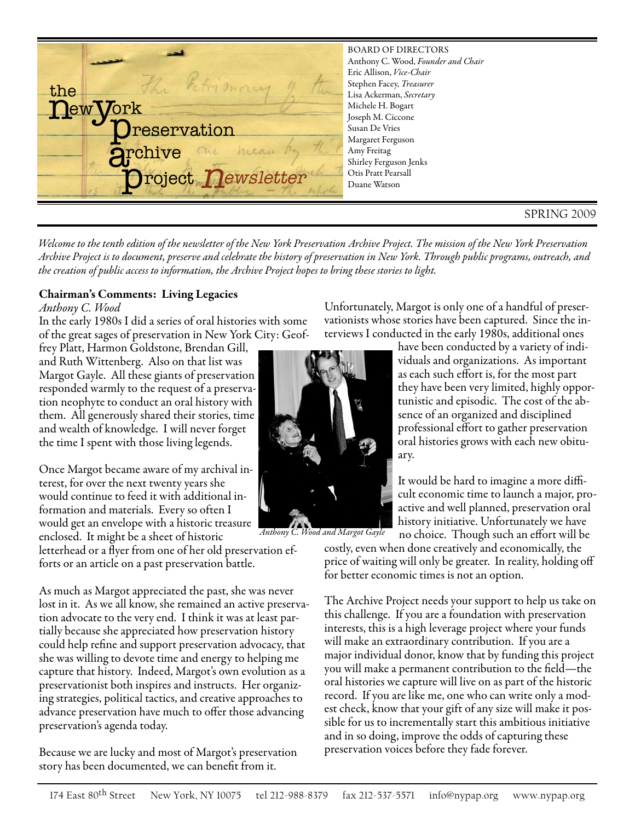

*Welcome to the tenth edition of the newsletter of the New York Preservation Archive Project. The mission of the New York Preservation Archive Project is to document, preserve and celebrate the history of preservation in New York. Through public programs, outreach, and the creation of public access to information, the Archive Project hopes to bring these stories to light.*

#### **Chairman's Comments: Living Legacies**

#### *Anthony C. Wood*

In the early 1980s I did a series of oral histories with some of the great sages of preservation in New York City: Geof-

frey Platt, Harmon Goldstone, Brendan Gill, and Ruth Wittenberg. Also on that list was Margot Gayle. All these giants of preservation responded warmly to the request of a preservation neophyte to conduct an oral history with them. All generously shared their stories, time and wealth of knowledge. I will never forget the time I spent with those living legends.

Once Margot became aware of my archival interest, for over the next twenty years she would continue to feed it with additional information and materials. Every so often I would get an envelope with a historic treasure enclosed. It might be a sheet of historic

letterhead or a flyer from one of her old preservation efforts or an article on a past preservation battle.

As much as Margot appreciated the past, she was never lost in it. As we all know, she remained an active preservation advocate to the very end. I think it was at least partially because she appreciated how preservation history could help refine and support preservation advocacy, that she was willing to devote time and energy to helping me capture that history. Indeed, Margot's own evolution as a preservationist both inspires and instructs. Her organizing strategies, political tactics, and creative approaches to advance preservation have much to offer those advancing preservation's agenda today.

Because we are lucky and most of Margot's preservation story has been documented, we can benefit from it.

*Anthony C. Wood and Margot Gayle*

Unfortunately, Margot is only one of a handful of preservationists whose stories have been captured. Since the interviews I conducted in the early 1980s, additional ones

> have been conducted by a variety of individuals and organizations. As important as each such effort is, for the most part they have been very limited, highly opportunistic and episodic. The cost of the absence of an organized and disciplined professional effort to gather preservation oral histories grows with each new obituary.

> It would be hard to imagine a more difficult economic time to launch a major, proactive and well planned, preservation oral history initiative. Unfortunately we have no choice. Though such an effort will be

costly, even when done creatively and economically, the price of waiting will only be greater. In reality, holding off for better economic times is not an option.

The Archive Project needs your support to help us take on this challenge. If you are a foundation with preservation interests, this is a high leverage project where your funds will make an extraordinary contribution. If you are a major individual donor, know that by funding this project you will make a permanent contribution to the field—the oral histories we capture will live on as part of the historic record. If you are like me, one who can write only a modest check, know that your gift of any size will make it possible for us to incrementally start this ambitious initiative and in so doing, improve the odds of capturing these preservation voices before they fade forever.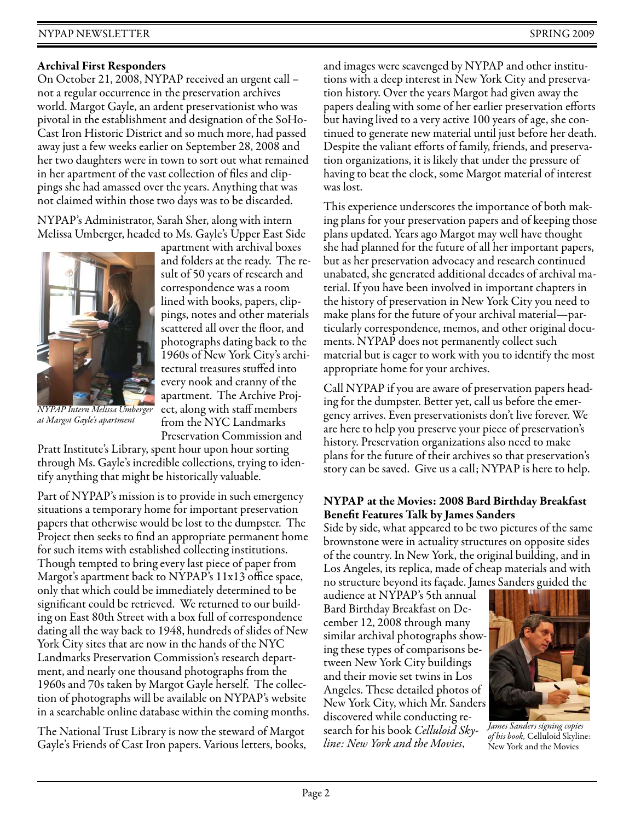# **Archival First Responders**

On October 21, 2008, NYPAP received an urgent call – not a regular occurrence in the preservation archives world. Margot Gayle, an ardent preservationist who was pivotal in the establishment and designation of the SoHo-Cast Iron Historic District and so much more, had passed away just a few weeks earlier on September 28, 2008 and her two daughters were in town to sort out what remained in her apartment of the vast collection of files and clippings she had amassed over the years. Anything that was not claimed within those two days was to be discarded.

NYPAP's Administrator, Sarah Sher, along with intern Melissa Umberger, headed to Ms. Gayle's Upper East Side



*NYPAP Intern Melissa Umberger at Margot Gayle's apartment*

apartment with archival boxes and folders at the ready. The result of 50 years of research and correspondence was a room lined with books, papers, clippings, notes and other materials scattered all over the floor, and photographs dating back to the 1960s of New York City's architectural treasures stuffed into every nook and cranny of the apartment. The Archive Project, along with staff members from the NYC Landmarks Preservation Commission and

Pratt Institute's Library, spent hour upon hour sorting through Ms. Gayle's incredible collections, trying to identify anything that might be historically valuable.

Part of NYPAP's mission is to provide in such emergency situations a temporary home for important preservation papers that otherwise would be lost to the dumpster. The Project then seeks to find an appropriate permanent home for such items with established collecting institutions. Though tempted to bring every last piece of paper from Margot's apartment back to NYPAP's 11x13 office space, only that which could be immediately determined to be significant could be retrieved. We returned to our building on East 80th Street with a box full of correspondence dating all the way back to 1948, hundreds of slides of New York City sites that are now in the hands of the NYC Landmarks Preservation Commission's research department, and nearly one thousand photographs from the 1960s and 70s taken by Margot Gayle herself. The collection of photographs will be available on NYPAP's website in a searchable online database within the coming months.

The National Trust Library is now the steward of Margot Gayle's Friends of Cast Iron papers. Various letters, books, and images were scavenged by NYPAP and other institutions with a deep interest in New York City and preservation history. Over the years Margot had given away the papers dealing with some of her earlier preservation efforts but having lived to a very active 100 years of age, she continued to generate new material until just before her death. Despite the valiant efforts of family, friends, and preservation organizations, it is likely that under the pressure of having to beat the clock, some Margot material of interest was lost.

This experience underscores the importance of both making plans for your preservation papers and of keeping those plans updated. Years ago Margot may well have thought she had planned for the future of all her important papers, but as her preservation advocacy and research continued unabated, she generated additional decades of archival material. If you have been involved in important chapters in the history of preservation in New York City you need to make plans for the future of your archival material—particularly correspondence, memos, and other original documents. NYPAP does not permanently collect such material but is eager to work with you to identify the most appropriate home for your archives.

Call NYPAP if you are aware of preservation papers heading for the dumpster. Better yet, call us before the emergency arrives. Even preservationists don't live forever. We are here to help you preserve your piece of preservation's history. Preservation organizations also need to make plans for the future of their archives so that preservation's story can be saved. Give us a call; NYPAP is here to help.

# **NYPAP at the Movies: 2008 Bard Birthday Breakfast Benefit Features Talk by James Sanders**

Side by side, what appeared to be two pictures of the same brownstone were in actuality structures on opposite sides of the country. In New York, the original building, and in Los Angeles, its replica, made of cheap materials and with no structure beyond its façade. James Sanders guided the

audience at NYPAP's 5th annual Bard Birthday Breakfast on December 12, 2008 through many similar archival photographs showing these types of comparisons between New York City buildings and their movie set twins in Los Angeles. These detailed photos of New York City, which Mr. Sanders discovered while conducting research for his book *Celluloid Skyline: New York and the Movies*,



*James Sanders signing copies of his book,* Celluloid Skyline: New York and the Movies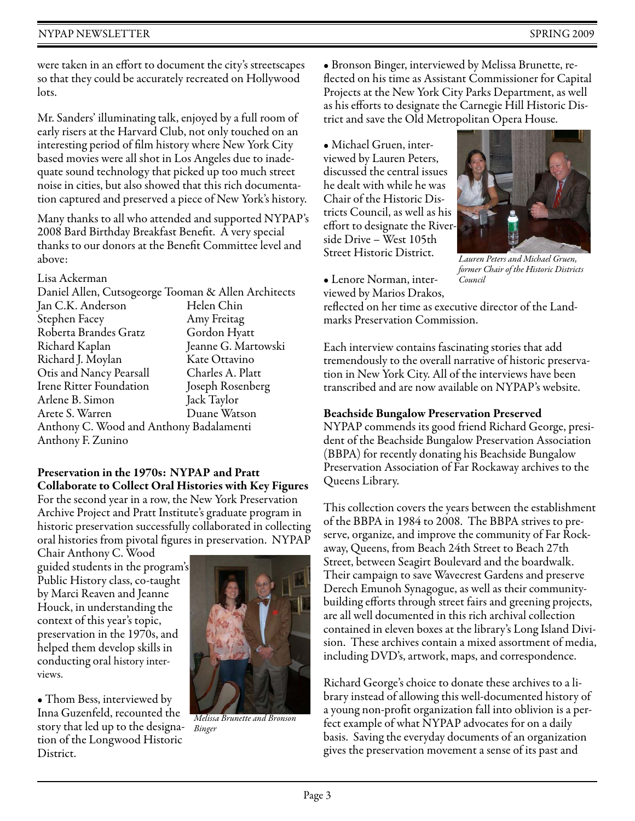were taken in an effort to document the city's streetscapes so that they could be accurately recreated on Hollywood lots.

Mr. Sanders' illuminating talk, enjoyed by a full room of early risers at the Harvard Club, not only touched on an interesting period of film history where New York City based movies were all shot in Los Angeles due to inadequate sound technology that picked up too much street noise in cities, but also showed that this rich documentation captured and preserved a piece of New York's history.

Many thanks to all who attended and supported NYPAP's 2008 Bard Birthday Breakfast Benefit. A very special thanks to our donors at the Benefit Committee level and above:

Lisa Ackerman

| Daniel Allen, Cutsogeorge Tooman & Allen Architects |                     |
|-----------------------------------------------------|---------------------|
|                                                     |                     |
| Jan C.K. Anderson                                   | Helen Chin          |
| Stephen Facey                                       | Amy Freitag         |
| Roberta Brandes Gratz                               | Gordon Hyatt        |
| Richard Kaplan                                      | Jeanne G. Martowski |
| Richard J. Moylan                                   | Kate Ottavino       |
| Otis and Nancy Pearsall                             | Charles A. Platt    |
| <b>Irene Ritter Foundation</b>                      | Joseph Rosenberg    |
| Arlene B. Simon                                     | Jack Taylor         |
| Arete S. Warren                                     | Duane Watson        |
| Anthony C. Wood and Anthony Badalamenti             |                     |
| Anthony F. Zunino                                   |                     |
|                                                     |                     |

#### **Preservation in the 1970s: NYPAP and Pratt Collaborate to Collect Oral Histories with Key Figures**

For the second year in a row, the New York Preservation Archive Project and Pratt Institute's graduate program in historic preservation successfully collaborated in collecting oral histories from pivotal figures in preservation. NYPAP

Chair Anthony C. Wood guided students in the program's Public History class, co-taught by Marci Reaven and Jeanne Houck, in understanding the context of this year's topic, preservation in the 1970s, and helped them develop skills in conducting oral history interviews.

• Thom Bess, interviewed by Inna Guzenfeld, recounted the story that led up to the designation of the Longwood Historic District.



*Melissa Brunette and Bronson Binger*

• Bronson Binger, interviewed by Melissa Brunette, reflected on his time as Assistant Commissioner for Capital Projects at the New York City Parks Department, as well as his efforts to designate the Carnegie Hill Historic District and save the Old Metropolitan Opera House.

• Michael Gruen, interviewed by Lauren Peters, discussed the central issues he dealt with while he was Chair of the Historic Districts Council, as well as his effort to designate the Riverside Drive – West 105th Street Historic District.



*Lauren Peters and Michael Gruen, former Chair of the Historic Districts Council*

• Lenore Norman, interviewed by Marios Drakos,

reflected on her time as executive director of the Landmarks Preservation Commission.

Each interview contains fascinating stories that add tremendously to the overall narrative of historic preservation in New York City. All of the interviews have been transcribed and are now available on NYPAP's website.

### **Beachside Bungalow Preservation Preserved**

NYPAP commends its good friend Richard George, president of the Beachside Bungalow Preservation Association (BBPA) for recently donating his Beachside Bungalow Preservation Association of Far Rockaway archives to the Queens Library.

This collection covers the years between the establishment of the BBPA in 1984 to 2008. The BBPA strives to preserve, organize, and improve the community of Far Rockaway, Queens, from Beach 24th Street to Beach 27th Street, between Seagirt Boulevard and the boardwalk. Their campaign to save Wavecrest Gardens and preserve Derech Emunoh Synagogue, as well as their communitybuilding efforts through street fairs and greening projects, are all well documented in this rich archival collection contained in eleven boxes at the library's Long Island Division. These archives contain a mixed assortment of media, including DVD's, artwork, maps, and correspondence.

Richard George's choice to donate these archives to a library instead of allowing this well-documented history of a young non-profit organization fall into oblivion is a perfect example of what NYPAP advocates for on a daily basis. Saving the everyday documents of an organization gives the preservation movement a sense of its past and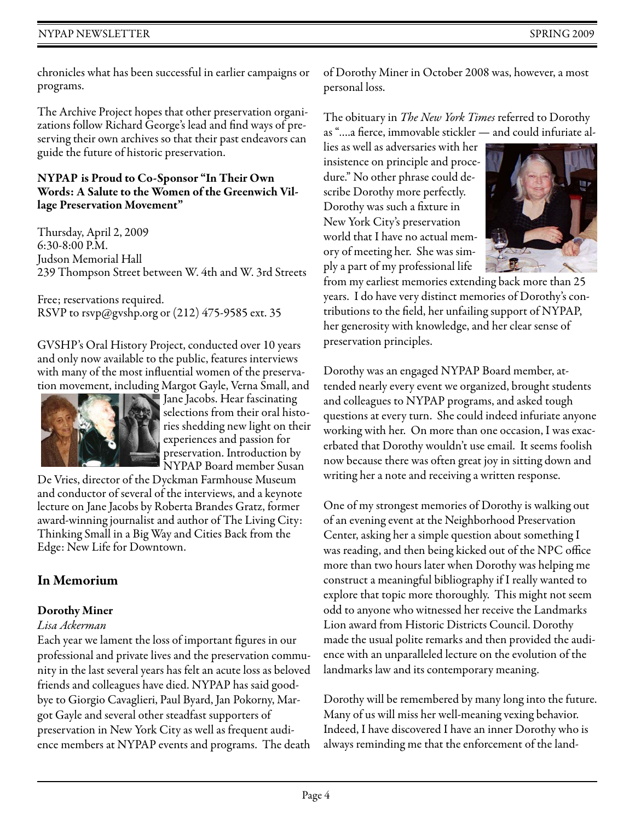chronicles what has been successful in earlier campaigns or programs.

The Archive Project hopes that other preservation organizations follow Richard George's lead and find ways of preserving their own archives so that their past endeavors can guide the future of historic preservation.

### **NYPAP is Proud to Co-Sponsor "In Their Own Words: A Salute to the Women of the Greenwich Village Preservation Movement"**

Thursday, April 2, 2009 6:30-8:00 P.M. Judson Memorial Hall 239 Thompson Street between W. 4th and W. 3rd Streets

Free; reservations required. RSVP to rsvp@gvshp.org or (212) 475-9585 ext. 35

GVSHP's Oral History Project, conducted over 10 years and only now available to the public, features interviews with many of the most influential women of the preservation movement, including Margot Gayle, Verna Small, and



Jane Jacobs. Hear fascinating selections from their oral histories shedding new light on their experiences and passion for preservation. Introduction by NYPAP Board member Susan

De Vries, director of the Dyckman Farmhouse Museum and conductor of several of the interviews, and a keynote lecture on Jane Jacobs by Roberta Brandes Gratz, former award-winning journalist and author of The Living City: Thinking Small in a Big Way and Cities Back from the Edge: New Life for Downtown.

# **In Memorium**

# **Dorothy Miner**

# *Lisa Ackerman*

Each year we lament the loss of important figures in our professional and private lives and the preservation community in the last several years has felt an acute loss as beloved friends and colleagues have died. NYPAP has said goodbye to Giorgio Cavaglieri, Paul Byard, Jan Pokorny, Margot Gayle and several other steadfast supporters of preservation in New York City as well as frequent audience members at NYPAP events and programs. The death of Dorothy Miner in October 2008 was, however, a most personal loss.

The obituary in *The New York Times* referred to Dorothy as "….a fierce, immovable stickler — and could infuriate al-

lies as well as adversaries with her insistence on principle and procedure." No other phrase could describe Dorothy more perfectly. Dorothy was such a fixture in New York City's preservation world that I have no actual memory of meeting her. She was simply a part of my professional life



from my earliest memories extending back more than 25 years. I do have very distinct memories of Dorothy's contributions to the field, her unfailing support of NYPAP, her generosity with knowledge, and her clear sense of preservation principles.

Dorothy was an engaged NYPAP Board member, attended nearly every event we organized, brought students and colleagues to NYPAP programs, and asked tough questions at every turn. She could indeed infuriate anyone working with her. On more than one occasion, I was exacerbated that Dorothy wouldn't use email. It seems foolish now because there was often great joy in sitting down and writing her a note and receiving a written response.

One of my strongest memories of Dorothy is walking out of an evening event at the Neighborhood Preservation Center, asking her a simple question about something I was reading, and then being kicked out of the NPC office more than two hours later when Dorothy was helping me construct a meaningful bibliography if I really wanted to explore that topic more thoroughly. This might not seem odd to anyone who witnessed her receive the Landmarks Lion award from Historic Districts Council. Dorothy made the usual polite remarks and then provided the audience with an unparalleled lecture on the evolution of the landmarks law and its contemporary meaning.

Dorothy will be remembered by many long into the future. Many of us will miss her well-meaning vexing behavior. Indeed, I have discovered I have an inner Dorothy who is always reminding me that the enforcement of the land-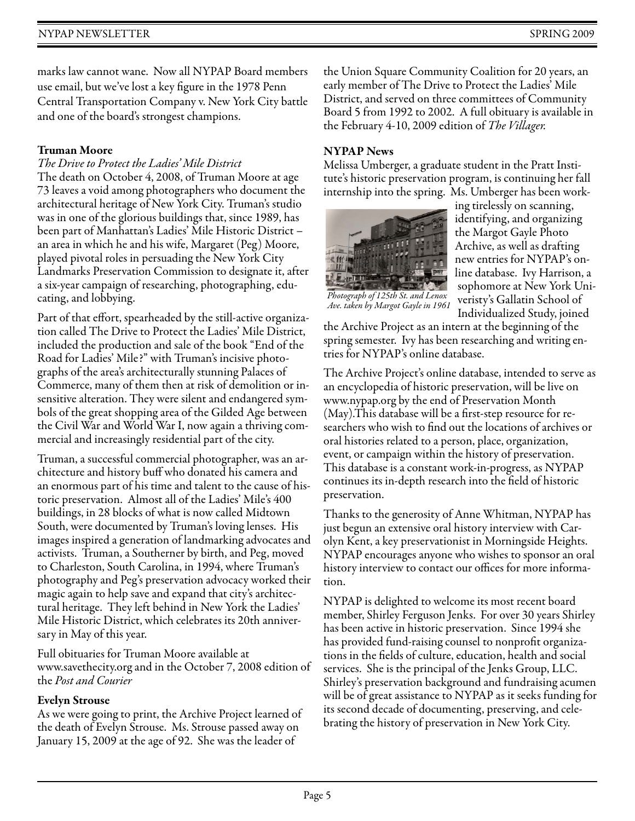# NYPAP NEWSLETTER SPRING 2009

marks law cannot wane. Now all NYPAP Board members use email, but we've lost a key figure in the 1978 Penn Central Transportation Company v. New York City battle and one of the board's strongest champions.

### **Truman Moore**

# *The Drive to Protect the Ladies' Mile District*

The death on October 4, 2008, of Truman Moore at age 73 leaves a void among photographers who document the architectural heritage of New York City. Truman's studio was in one of the glorious buildings that, since 1989, has been part of Manhattan's Ladies' Mile Historic District – an area in which he and his wife, Margaret (Peg) Moore, played pivotal roles in persuading the New York City Landmarks Preservation Commission to designate it, after a six-year campaign of researching, photographing, educating, and lobbying.

Part of that effort, spearheaded by the still-active organization called The Drive to Protect the Ladies' Mile District, included the production and sale of the book "End of the Road for Ladies' Mile?" with Truman's incisive photographs of the area's architecturally stunning Palaces of Commerce, many of them then at risk of demolition or insensitive alteration. They were silent and endangered symbols of the great shopping area of the Gilded Age between the Civil War and World War I, now again a thriving commercial and increasingly residential part of the city.

Truman, a successful commercial photographer, was an architecture and history buff who donated his camera and an enormous part of his time and talent to the cause of historic preservation. Almost all of the Ladies' Mile's 400 buildings, in 28 blocks of what is now called Midtown South, were documented by Truman's loving lenses. His images inspired a generation of landmarking advocates and activists. Truman, a Southerner by birth, and Peg, moved to Charleston, South Carolina, in 1994, where Truman's photography and Peg's preservation advocacy worked their magic again to help save and expand that city's architectural heritage. They left behind in New York the Ladies' Mile Historic District, which celebrates its 20th anniversary in May of this year.

Full obituaries for Truman Moore available at www.savethecity.org and in the October 7, 2008 edition of the *Post and Courier*

### **Evelyn Strouse**

As we were going to print, the Archive Project learned of the death of Evelyn Strouse. Ms. Strouse passed away on January 15, 2009 at the age of 92. She was the leader of

the Union Square Community Coalition for 20 years, an early member of The Drive to Protect the Ladies' Mile District, and served on three committees of Community Board 5 from 1992 to 2002. A full obituary is available in the February 4-10, 2009 edition of *The Villager.* 

# **NYPAP News**

Melissa Umberger, a graduate student in the Pratt Institute's historic preservation program, is continuing her fall internship into the spring. Ms. Umberger has been work-



ing tirelessly on scanning, identifying, and organizing the Margot Gayle Photo Archive, as well as drafting new entries for NYPAP's online database. Ivy Harrison, a sophomore at New York Univeristy's Gallatin School of Individualized Study, joined

*Ave. taken by Margot Gayle in 1961* 

the Archive Project as an intern at the beginning of the spring semester. Ivy has been researching and writing entries for NYPAP's online database.

The Archive Project's online database, intended to serve as an encyclopedia of historic preservation, will be live on www.nypap.org by the end of Preservation Month (May).This database will be a first-step resource for researchers who wish to find out the locations of archives or oral histories related to a person, place, organization, event, or campaign within the history of preservation. This database is a constant work-in-progress, as NYPAP continues its in-depth research into the field of historic preservation.

Thanks to the generosity of Anne Whitman, NYPAP has just begun an extensive oral history interview with Carolyn Kent, a key preservationist in Morningside Heights. NYPAP encourages anyone who wishes to sponsor an oral history interview to contact our offices for more information.

NYPAP is delighted to welcome its most recent board member, Shirley Ferguson Jenks. For over 30 years Shirley has been active in historic preservation. Since 1994 she has provided fund-raising counsel to nonprofit organizations in the fields of culture, education, health and social services. She is the principal of the Jenks Group, LLC. Shirley's preservation background and fundraising acumen will be of great assistance to NYPAP as it seeks funding for its second decade of documenting, preserving, and celebrating the history of preservation in New York City.